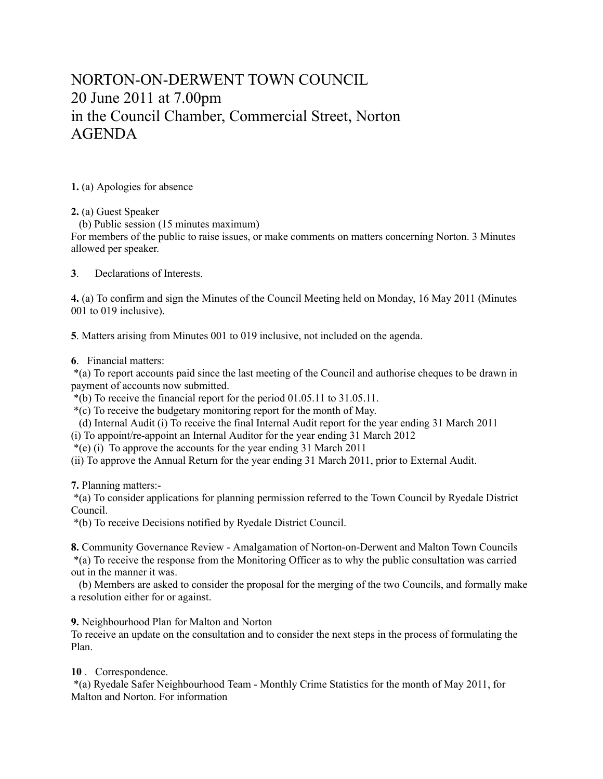## NORTON-ON-DERWENT TOWN COUNCIL 20 June 2011 at 7.00pm in the Council Chamber, Commercial Street, Norton AGENDA

**1.** (a) Apologies for absence

**2.** (a) Guest Speaker

(b) Public session (15 minutes maximum)

For members of the public to raise issues, or make comments on matters concerning Norton. 3 Minutes allowed per speaker.

**3**. Declarations of Interests.

**4.** (a) To confirm and sign the Minutes of the Council Meeting held on Monday, 16 May 2011 (Minutes 001 to 019 inclusive).

**5**. Matters arising from Minutes 001 to 019 inclusive, not included on the agenda.

**6**. Financial matters:

 \*(a) To report accounts paid since the last meeting of the Council and authorise cheques to be drawn in payment of accounts now submitted.

\*(b) To receive the financial report for the period 01.05.11 to 31.05.11.

\*(c) To receive the budgetary monitoring report for the month of May.

(d) Internal Audit (i) To receive the final Internal Audit report for the year ending 31 March 2011

(i) To appoint/re-appoint an Internal Auditor for the year ending 31 March 2012

\*(e) (i) To approve the accounts for the year ending 31 March 2011

(ii) To approve the Annual Return for the year ending 31 March 2011, prior to External Audit.

**7.** Planning matters:-

 \*(a) To consider applications for planning permission referred to the Town Council by Ryedale District Council.

\*(b) To receive Decisions notified by Ryedale District Council.

**8.** Community Governance Review - Amalgamation of Norton-on-Derwent and Malton Town Councils \*(a) To receive the response from the Monitoring Officer as to why the public consultation was carried out in the manner it was.

 (b) Members are asked to consider the proposal for the merging of the two Councils, and formally make a resolution either for or against.

**9.** Neighbourhood Plan for Malton and Norton

To receive an update on the consultation and to consider the next steps in the process of formulating the Plan.

**10** . Correspondence.

 \*(a) Ryedale Safer Neighbourhood Team - Monthly Crime Statistics for the month of May 2011, for Malton and Norton. For information